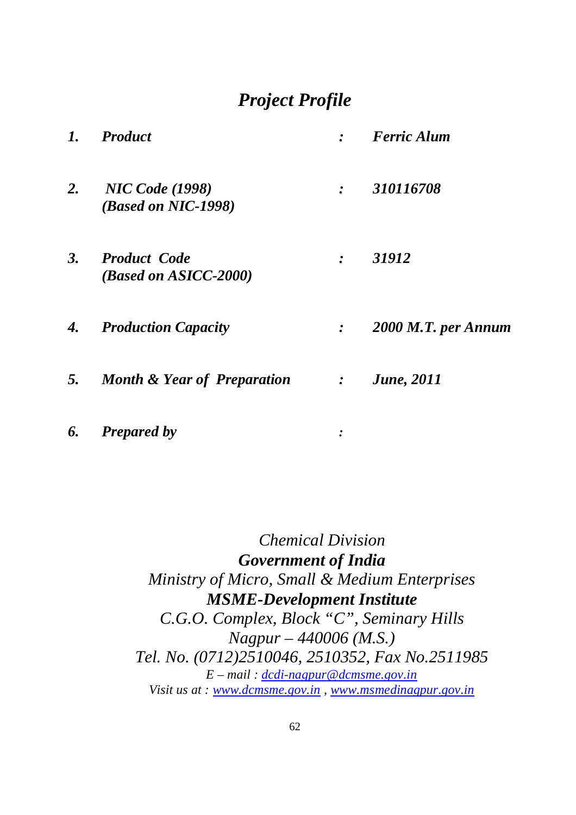# *Project Profile*

| $\mathbf{1}$ . | <b>Product</b>                                |                                         | <b>Ferric Alum</b>  |
|----------------|-----------------------------------------------|-----------------------------------------|---------------------|
| 2.             | <b>NIC Code</b> (1998)<br>(Based on NIC-1998) | $\cdot$                                 | 310116708           |
|                | 3. Product Code<br>(Based on ASICC-2000)      | $\cdot$                                 | 31912               |
|                | 4. Production Capacity                        | $\ddot{\cdot}$                          | 2000 M.T. per Annum |
|                | 5. Month & Year of Preparation                | $\mathcal{L} = \mathcal{L} \mathcal{L}$ | <b>June</b> , 2011  |
| 6.             | <b>Prepared by</b>                            |                                         |                     |

 *Chemical Division Government of India Ministry of Micro, Small & Medium Enterprises MSME-Development Institute C.G.O. Complex, Block "C", Seminary Hills Nagpur – 440006 (M.S.) Tel. No. (0712)2510046, 2510352, Fax No.2511985 E – mail : dcdi-nagpur@dcmsme.gov.in Visit us at : www.dcmsme.gov.in , www.msmedinagpur.gov.in*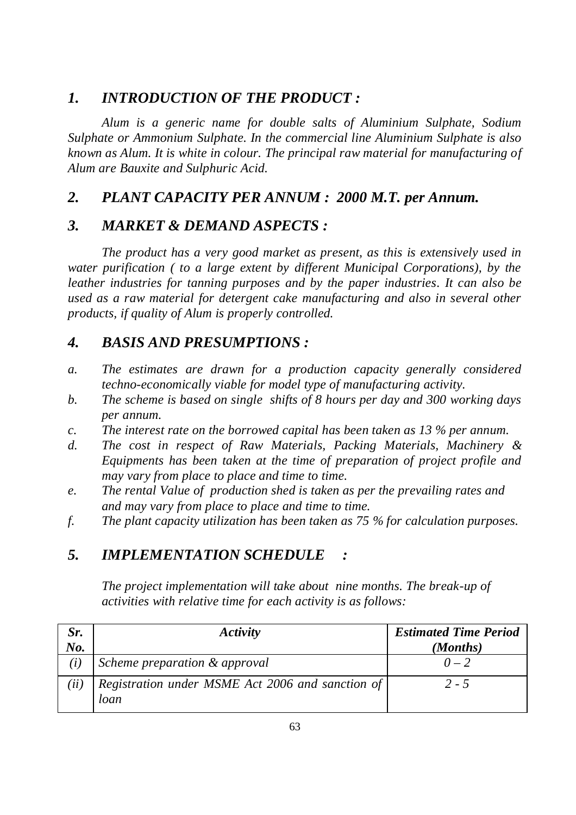## *1. INTRODUCTION OF THE PRODUCT :*

*Alum is a generic name for double salts of Aluminium Sulphate, Sodium Sulphate or Ammonium Sulphate. In the commercial line Aluminium Sulphate is also known as Alum. It is white in colour. The principal raw material for manufacturing of Alum are Bauxite and Sulphuric Acid.*

# *2. PLANT CAPACITY PER ANNUM : 2000 M.T. per Annum.*

# *3. MARKET & DEMAND ASPECTS :*

*The product has a very good market as present, as this is extensively used in water purification ( to a large extent by different Municipal Corporations), by the leather industries for tanning purposes and by the paper industries. It can also be used as a raw material for detergent cake manufacturing and also in several other products, if quality of Alum is properly controlled.*

# *4. BASIS AND PRESUMPTIONS :*

- *a. The estimates are drawn for a production capacity generally considered techno-economically viable for model type of manufacturing activity.*
- *b. The scheme is based on single shifts of 8 hours per day and 300 working days per annum.*
- *c. The interest rate on the borrowed capital has been taken as 13 % per annum.*
- *d. The cost in respect of Raw Materials, Packing Materials, Machinery & Equipments has been taken at the time of preparation of project profile and may vary from place to place and time to time.*
- *e. The rental Value of production shed is taken as per the prevailing rates and and may vary from place to place and time to time.*
- *f. The plant capacity utilization has been taken as 75 % for calculation purposes.*

# *5. IMPLEMENTATION SCHEDULE :*

*The project implementation will take about nine months. The break-up of activities with relative time for each activity is as follows:*

| Sr.  | Activity                                         | <b>Estimated Time Period</b> |
|------|--------------------------------------------------|------------------------------|
| No.  |                                                  | (Months)                     |
| (i)  | Scheme preparation & approval                    | $0 - 2$                      |
| (ii) | Registration under MSME Act 2006 and sanction of | $2 - 5$                      |
|      | loan                                             |                              |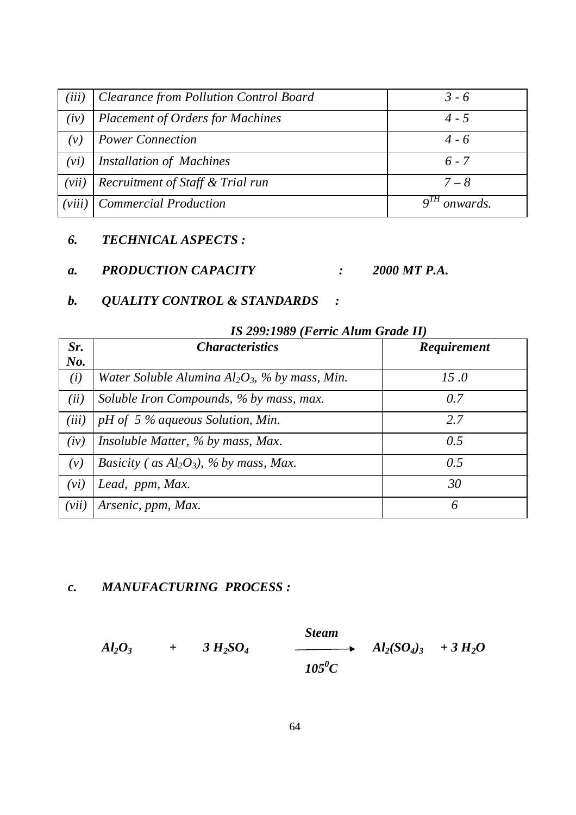| (iii)   | <b>Clearance from Pollution Control Board</b> | $3 - 6$         |
|---------|-----------------------------------------------|-----------------|
| (iv)    | <b>Placement of Orders for Machines</b>       | 4 - 5           |
| $(\nu)$ | <b>Power Connection</b>                       | $4 - 6$         |
| (vi)    | <b>Installation of Machines</b>               | $6 - 7$         |
| (vii)   | Recruitment of Staff & Trial run              | $7 - 8$         |
| (viii)  | <b>Commercial Production</b>                  | <i>onwards.</i> |

### *6. TECHNICAL ASPECTS :*

*a. PRODUCTION CAPACITY : 2000 MT P.A.*

#### *b. QUALITY CONTROL & STANDARDS :*

|       | $(1 - 0.1)$ is a second $(1 - 0.01)$              |             |  |  |  |
|-------|---------------------------------------------------|-------------|--|--|--|
| Sr.   | <b>Characteristics</b>                            | Requirement |  |  |  |
| No.   |                                                   |             |  |  |  |
| (i)   | Water Soluble Alumina $Al_2O_3$ , % by mass, Min. | 15.0        |  |  |  |
| (ii)  | Soluble Iron Compounds, % by mass, max.           | 0.7         |  |  |  |
| (iii) | pH of 5 % aqueous Solution, Min.                  | 2.7         |  |  |  |
| (iv)  | Insoluble Matter, % by mass, Max.                 | 0.5         |  |  |  |
| (v)   | <i>Basicity</i> (as $Al_2O_3$ ), % by mass, Max.  | 0.5         |  |  |  |
| (vi)  | Lead, ppm, Max.                                   | 30          |  |  |  |
| (vii) | Arsenic, ppm, Max.                                | 6           |  |  |  |

#### *IS 299:1989 (Ferric Alum Grade II)*

## *c. MANUFACTURING PROCESS :*

 $A$ *l*<sub>2</sub> $O$ <sub>3</sub>  $+$  3  $H$ <sub>2</sub> $SO$ <sub>4</sub>

$$
Steam\n\n1050C\n\nA2(SO4)3 + 3 H2O
$$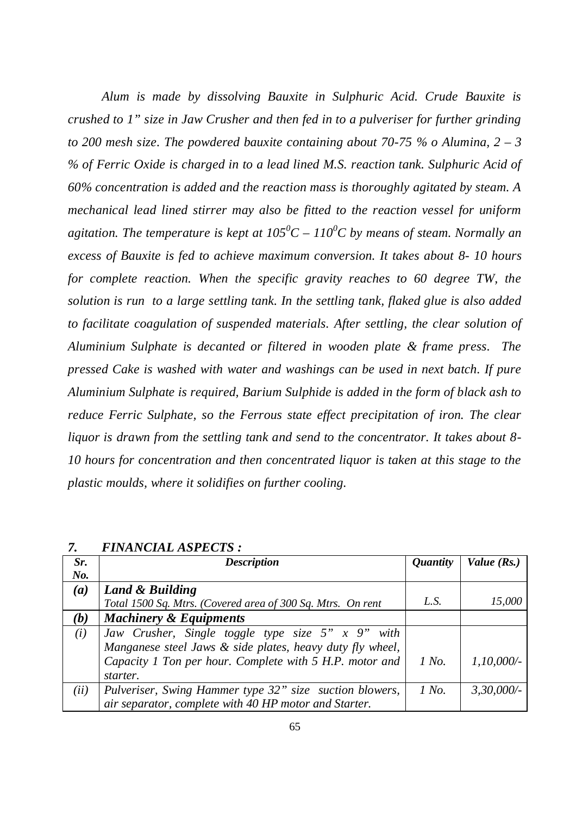*Alum is made by dissolving Bauxite in Sulphuric Acid. Crude Bauxite is crushed to 1" size in Jaw Crusher and then fed in to a pulveriser for further grinding to 200 mesh size. The powdered bauxite containing about 70-75 % o Alumina, 2 – 3 % of Ferric Oxide is charged in to a lead lined M.S. reaction tank. Sulphuric Acid of 60% concentration is added and the reaction mass is thoroughly agitated by steam. A mechanical lead lined stirrer may also be fitted to the reaction vessel for uniform agitation. The temperature is kept at 105<sup>0</sup>C – 110 <sup>0</sup>C by means of steam. Normally an excess of Bauxite is fed to achieve maximum conversion. It takes about 8- 10 hours for complete reaction. When the specific gravity reaches to 60 degree TW, the solution is run to a large settling tank. In the settling tank, flaked glue is also added to facilitate coagulation of suspended materials. After settling, the clear solution of Aluminium Sulphate is decanted or filtered in wooden plate & frame press. The pressed Cake is washed with water and washings can be used in next batch. If pure Aluminium Sulphate is required, Barium Sulphide is added in the form of black ash to reduce Ferric Sulphate, so the Ferrous state effect precipitation of iron. The clear liquor is drawn from the settling tank and send to the concentrator. It takes about 8- 10 hours for concentration and then concentrated liquor is taken at this stage to the plastic moulds, where it solidifies on further cooling.*

| Sr.  | <b>Description</b>                                          | <i><b>Quantity</b></i> | Value $(Rs.)$ |
|------|-------------------------------------------------------------|------------------------|---------------|
| No.  |                                                             |                        |               |
| (a)  | Land & Building                                             |                        |               |
|      | Total 1500 Sq. Mtrs. (Covered area of 300 Sq. Mtrs. On rent | L.S.                   | 15,000        |
| (b)  | <b>Machinery &amp; Equipments</b>                           |                        |               |
| (i)  | Jaw Crusher, Single toggle type size $5''$ x $9''$ with     |                        |               |
|      | Manganese steel Jaws & side plates, heavy duty fly wheel,   |                        |               |
|      | Capacity 1 Ton per hour. Complete with 5 H.P. motor and     | 1 No.                  | $1,10,000/-$  |
|      | starter.                                                    |                        |               |
| (ii) | Pulveriser, Swing Hammer type 32" size suction blowers,     | 1 No.                  | 3,30,000/     |
|      | air separator, complete with 40 HP motor and Starter.       |                        |               |

*7. FINANCIAL ASPECTS :*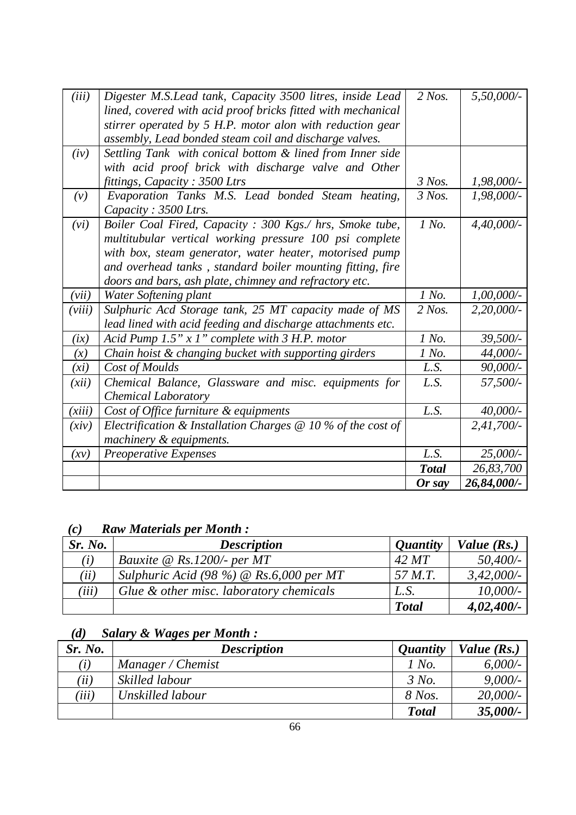|        |                                                                           | Or say               | 26,84,000/-   |
|--------|---------------------------------------------------------------------------|----------------------|---------------|
|        |                                                                           | <b>Total</b>         | 26,83,700     |
| (xy)   | Preoperative Expenses                                                     | L.S.                 | $25,000/$ -   |
|        | machinery & equipments.                                                   |                      |               |
| (xiv)  | Electrification & Installation Charges $\mathcal Q$ 10 % of the cost of   |                      | $2,41,700/-$  |
| (xiii) | Cost of Office furniture & equipments                                     | L.S.                 | $40,000/$ -   |
|        | <b>Chemical Laboratory</b>                                                |                      |               |
| (xii)  | Chemical Balance, Glassware and misc. equipments for                      | L.S.                 | 57,500/-      |
| (xi)   | Cost of Moulds                                                            | L.S.                 | 90,000/-      |
| (x)    | Chain hoist & changing bucket with supporting girders                     | 1 No.                | 44,000/-      |
| (ix)   | Acid Pump $1.5" x 1"$ complete with 3 H.P. motor                          | 1 No.                | 39,500/-      |
|        | lead lined with acid feeding and discharge attachments etc.               |                      |               |
| (viii) | Sulphuric Acd Storage tank, 25 MT capacity made of MS                     | $2$ Nos.             | $2,20,000/$ - |
| (vii)  | Water Softening plant                                                     | 1 No.                | $1,00,000/$ - |
|        | doors and bars, ash plate, chimney and refractory etc.                    |                      |               |
|        | and overhead tanks, standard boiler mounting fitting, fire                |                      |               |
|        | with box, steam generator, water heater, motorised pump                   |                      |               |
|        | multitubular vertical working pressure 100 psi complete                   |                      |               |
| (vi)   | Boiler Coal Fired, Capacity : 300 Kgs./ hrs, Smoke tube,                  | 1 No.                | $4,40,000/$ - |
| (v)    | Evaporation Tanks M.S. Lead bonded Steam heating,<br>Capacity: 3500 Ltrs. |                      | $1,98,000/$ - |
|        | fittings, Capacity: 3500 Ltrs                                             | $3$ Nos.<br>$3$ Nos. | $1,98,000/$ - |
|        | with acid proof brick with discharge valve and Other                      |                      |               |
| (iv)   | Settling Tank with conical bottom & lined from Inner side                 |                      |               |
|        | assembly, Lead bonded steam coil and discharge valves.                    |                      |               |
|        | stirrer operated by 5 H.P. motor alon with reduction gear                 |                      |               |
|        | lined, covered with acid proof bricks fitted with mechanical              |                      |               |
| (iii)  | Digester M.S. Lead tank, Capacity 3500 litres, inside Lead                | $2$ Nos.             | 5,50,000/     |

# *(c) Raw Materials per Month :*

| Sr. No. | <b>Description</b>                             | <i><b>Quantity</b></i> | Value $(Rs.)$ |
|---------|------------------------------------------------|------------------------|---------------|
| (i)     | Bauxite $\omega$ Rs.1200/- per MT              | 42 MT                  | 50,400/-      |
| (ii)    | Sulphuric Acid (98 %) $\omega$ Rs.6,000 per MT | 57 M.T.                | 3,42,000/     |
| (iii)   | Glue & other misc. laboratory chemicals        | L.S.                   | 10,000/       |
|         |                                                | <b>Total</b>           | $4,02,400/$ - |

# *(d) Salary & Wages per Month :*

| Sr. No. | <b>Description</b> | <i><b>Quantity</b></i> | Value (Rs.) |
|---------|--------------------|------------------------|-------------|
| (i)     | Manager / Chemist  | 1 No.                  | 6,000/      |
| (iii)   | Skilled labour     | 3 No.                  | $9,000/$ -  |
| (iii)   | Unskilled labour   | 8 Nos.                 | 20,000/     |
|         |                    | <b>Total</b>           | 35,000/-    |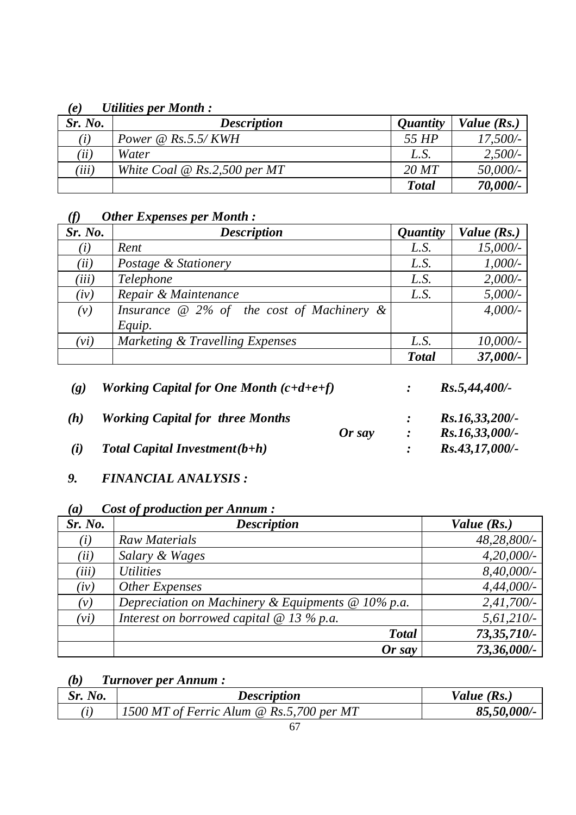#### *(e) Utilities per Month :*

| Sr. No. | <b>Description</b>                       | <i><b>Ouantity</b></i> | Value $(Rs.)$ |
|---------|------------------------------------------|------------------------|---------------|
| (i)     | Power $\omega$ Rs.5.5/KWH                | 55 HP                  | $17,500/-$    |
| (iii)   | Water                                    | L.S.                   | 2,500/        |
| (iii)   | White Coal $\mathcal{Q}$ Rs.2,500 per MT | 20~MT                  | 50,000/-      |
|         |                                          | <b>Total</b>           | 70,000/-      |

## *(f) Other Expenses per Month :*

| Sr. No. | <b>Description</b>                               | <i><b>Quantity</b></i> | Value (Rs.) |
|---------|--------------------------------------------------|------------------------|-------------|
| (i)     | Rent                                             | L.S.                   | $15,000/-$  |
| (ii)    | Postage & Stationery                             | L.S.                   | $1,000/$ -  |
| (iii)   | Telephone                                        | L.S.                   | 2,000/      |
| (iv)    | Repair & Maintenance                             | L.S.                   | $5,000/$ -  |
| (v)     | Insurance $\omega$ 2% of the cost of Machinery & |                        | $4,000/$ -  |
|         | Equip.                                           |                        |             |
| (vi)    | Marketing & Travelling Expenses                  | L.S.                   | $10,000/$ - |
|         |                                                  | <b>Total</b>           | 37,000/-    |

| $\left( \varrho \right)$ | Working Capital for One Month $(c+d+e+f)$ |          | $Rs.5,44,400/-$   |
|--------------------------|-------------------------------------------|----------|-------------------|
| (h)                      | <b>Working Capital for three Months</b>   |          | $Rs.16,33,200/$ - |
|                          |                                           | $Or$ say | $Rs.16,33,000/$ - |
| (i)                      | <b>Total Capital Investment</b> $(b+h)$   |          | $Rs.43,17,000/-$  |

## *9. FINANCIAL ANALYSIS :*

## *(a) Cost of production per Annum :*

| Sr. No. | <b>Description</b>                                           | Value $(Rs.)$ |
|---------|--------------------------------------------------------------|---------------|
| (i)     | <b>Raw Materials</b>                                         | 48,28,800/-   |
| (ii)    | Salary & Wages                                               | $4,20,000/$ - |
| (iii)   | <i>Utilities</i>                                             | 8,40,000/-    |
| (iv)    | Other Expenses                                               | $4,44,000/$ - |
| (v)     | Depreciation on Machinery & Equipments $\mathcal Q$ 10% p.a. | 2,41,700/     |
| (vi)    | Interest on borrowed capital $\omega$ 13 % p.a.              | $5,61,210/-$  |
|         | <b>Total</b>                                                 | $73,35,710/-$ |
|         | $Or$ say                                                     | 73,36,000/-   |

# *(b) Turnover per Annum :*

| Sr. 1<br>No. | <b>Description</b>                                  | Value $(Rs)$ . |
|--------------|-----------------------------------------------------|----------------|
| $\it i$ .    | 1500 MT of Ferric Alum $\mathcal Q$ Rs.5,700 per MT | 85,50,000/-    |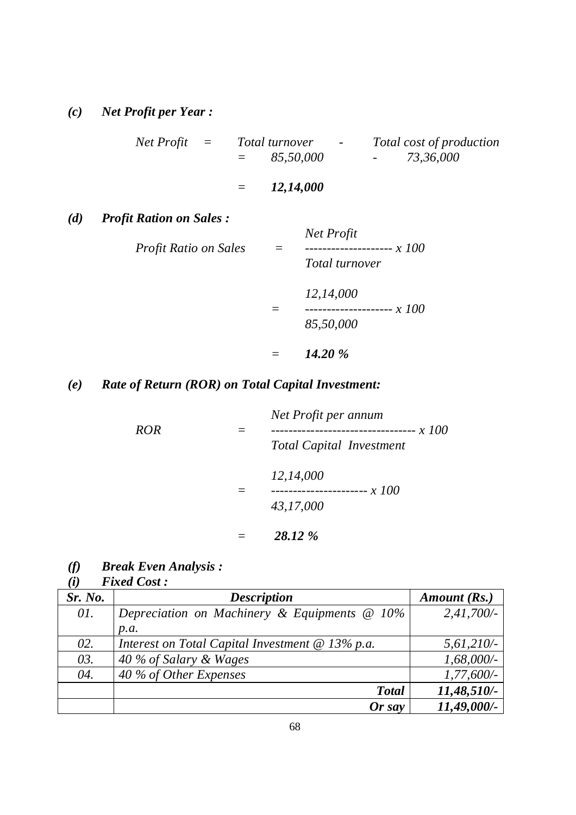*(c) Net Profit per Year :*

| Net Profit | $=$ | <i>Total turnover</i> | $\overline{\phantom{0}}$ | Total cost of production |
|------------|-----|-----------------------|--------------------------|--------------------------|
|            |     | 85,50,000<br>$=$      |                          | 73,36,000<br>$\sim$      |

# *= 12,14,000*

*(d) Profit Ration on Sales :*

| Profit Ratio on Sales | Net Profit<br>-------------------- $x$ 100<br>Total turnover |
|-----------------------|--------------------------------------------------------------|
|                       | 12,14,000<br>-- x 100<br>------<br>85,50,000                 |
|                       |                                                              |

#### *= 14.20 %*

## *(e) Rate of Return (ROR) on Total Capital Investment:*

| <b>ROR</b> | Net Profit per annum<br><i>x</i> 100<br><b>Total Capital Investment</b> |  |
|------------|-------------------------------------------------------------------------|--|
|            | 12,14,000<br>43,17,000                                                  |  |
|            | 28.12 %                                                                 |  |

*(f) Break Even Analysis :*

## $Fixed Cost:$

| Sr. No. | <b>Description</b>                                  | Amount (Rs.)  |
|---------|-----------------------------------------------------|---------------|
| 01.     | Depreciation on Machinery & Equipments $\omega$ 10% | 2,41,700/     |
|         | p.a.                                                |               |
| 02.     | Interest on Total Capital Investment $@$ 13% p.a.   | 5,61,210/     |
| 03.     | 40 % of Salary & Wages                              | $1,68,000/$ - |
| 04.     | 40 % of Other Expenses                              | $1,77,600/-$  |
|         | <b>Total</b>                                        | 11,48,510/-   |
|         | $Or$ say                                            | 11,49,000/-   |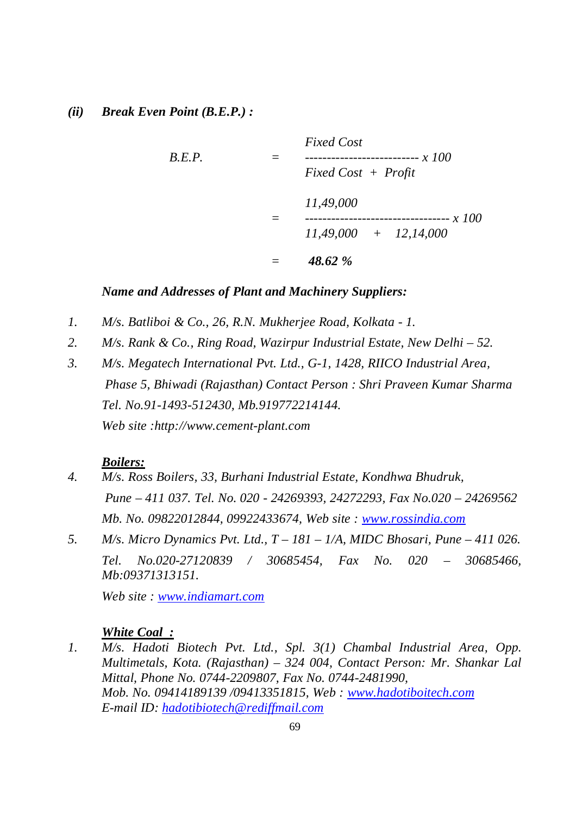### *(ii) Break Even Point (B.E.P.) :*

*Fixed Cost B.E.P. = -------------------------- x 100 Fixed Cost + Profit 11,49,000 = --------------------------------- x 100 11,49,000 + 12,14,000 = 48.62 %*

#### *Name and Addresses of Plant and Machinery Suppliers:*

- *1. M/s. Batliboi & Co., 26, R.N. Mukherjee Road, Kolkata - 1.*
- *2. M/s. Rank & Co., Ring Road, Wazirpur Industrial Estate, New Delhi – 52.*
- *3. M/s. Megatech International Pvt. Ltd., G-1, 1428, RIICO Industrial Area, Phase 5, Bhiwadi (Rajasthan) Contact Person : Shri Praveen Kumar Sharma Tel. No.91-1493-512430, Mb.919772214144. Web site :http://www.cement-plant.com*

#### *Boilers:*

- *4. M/s. Ross Boilers, 33, Burhani Industrial Estate, Kondhwa Bhudruk, Pune – 411 037. Tel. No. 020 - 24269393, 24272293, Fax No.020 – 24269562 Mb. No. 09822012844, 09922433674, Web site : www.rossindia.com*
- *5. M/s. Micro Dynamics Pvt. Ltd., T – 181 – 1/A, MIDC Bhosari, Pune – 411 026. Tel. No.020-27120839 / 30685454, Fax No. 020 – 30685466, Mb:09371313151.*

*Web site : www.indiamart.com*

## *White Coal :*

*1. M/s. Hadoti Biotech Pvt. Ltd., Spl. 3(1) Chambal Industrial Area, Opp. Multimetals, Kota. (Rajasthan) – 324 004, Contact Person: Mr. Shankar Lal Mittal, Phone No. 0744-2209807, Fax No. 0744-2481990, Mob. No. 09414189139 /09413351815, Web : www.hadotiboitech.com E-mail ID: hadotibiotech@rediffmail.com*